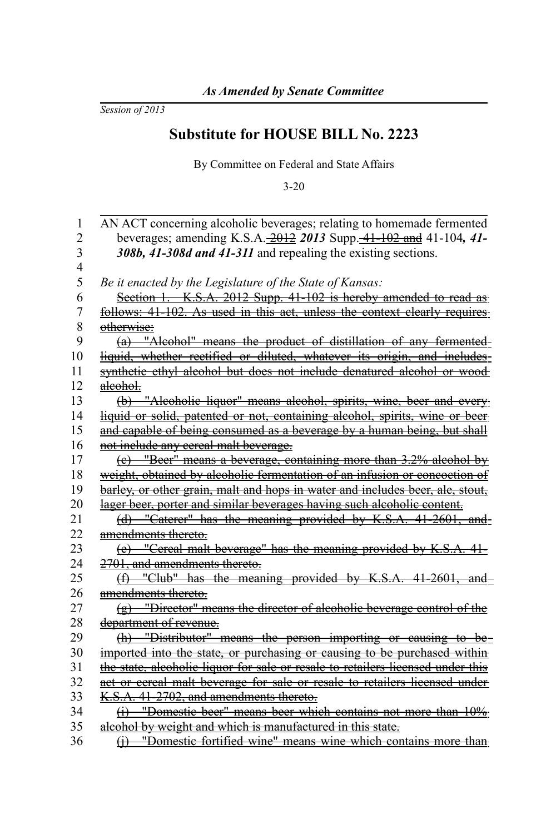*Session of 2013*

## **Substitute for HOUSE BILL No. 2223**

By Committee on Federal and State Affairs

3-20

| 1              | AN ACT concerning alcoholic beverages; relating to homemade fermented            |
|----------------|----------------------------------------------------------------------------------|
| $\overline{c}$ | beverages; amending K.S.A. 2012 2013 Supp. 41-102 and 41-104, 41-                |
| 3              | 308b, 41-308d and 41-311 and repealing the existing sections.                    |
| $\overline{4}$ |                                                                                  |
| 5              | Be it enacted by the Legislature of the State of Kansas:                         |
| 6              | Section 1. K.S.A. 2012 Supp. 41-102 is hereby amended to read as                 |
| 7              | <u>follows: 41-102. As used in this act, unless the context clearly requires</u> |
| 8              | otherwise:                                                                       |
| 9              | (a) "Alcohol" means the product of distillation of any fermented-                |
| 10             | liquid, whether rectified or diluted, whatever its origin, and includes-         |
| 11             | synthetic ethyl alcohol but does not include denatured alcohol or wood           |
| 12             | aleohol.                                                                         |
| 13             | (b) "Alcoholic liquor" means alcohol, spirits, wine, beer and every              |
| 14             | liquid or solid, patented or not, containing alcohol, spirits, wine or beer-     |
| 15             | and capable of being consumed as a beverage by a human being, but shall          |
| 16             | not include any cereal malt beverage.                                            |
| 17             | (c) "Beer" means a beverage, containing more than 3.2% alcohol by                |
| 18             | weight, obtained by alcoholic fermentation of an infusion or concoction of       |
| 19             | barley, or other grain, malt and hops in water and includes beer, ale, stout,    |
| 20             | lager beer, porter and similar beverages having such alcoholic content.          |
| 21             | (d) "Caterer" has the meaning provided by K.S.A. 41-2601, and                    |
| 22             | amendments thereto.                                                              |
| 23             | (e) "Cereal malt beverage" has the meaning provided by K.S.A. 41-                |
| 24             | 2701, and amendments thereto.                                                    |
| 25             | $(f)$ "Club" has the meaning provided by K.S.A. 41-2601, and                     |
| 26             | amendments thereto.                                                              |
| 27             | (g) "Director" means the director of alcoholic beverage control of the           |
| 28             | department of revenue.                                                           |
| 29             | (h) "Distributor" means the person importing or causing to be-                   |
| 30             | imported into the state, or purchasing or causing to be purchased within         |
| 31             | the state, alcoholic liquor for sale or resale to retailers licensed under this  |
| 32             | act or cereal malt beverage for sale or resale to retailers licensed under       |
| 33             | K.S.A. 41-2702, and amendments thereto.                                          |
| 34             | (i) "Domestic beer" means beer which contains not more than 10%                  |
| 35             | alcohol by weight and which is manufactured in this state.                       |
| 36             | (j) "Domestic fortified wine" means wine which contains more than                |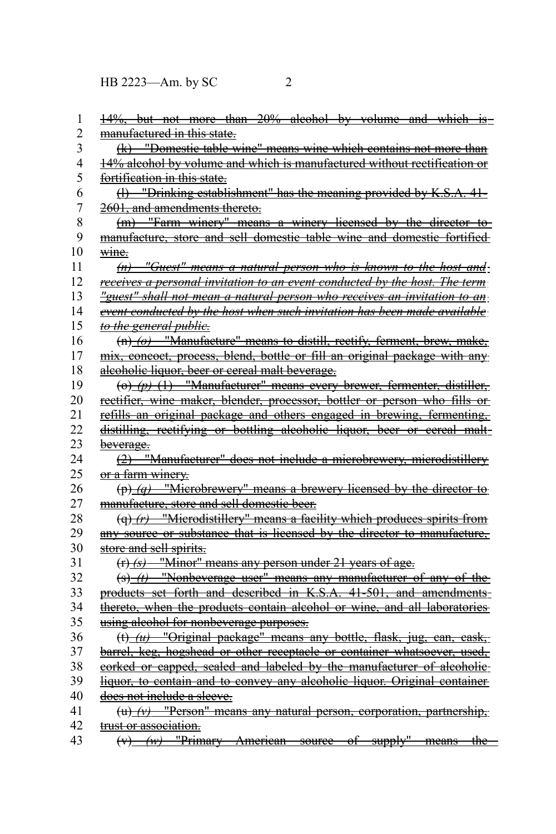| 1              | 14%, but not more than 20% alcohol by volume and which is-                               |
|----------------|------------------------------------------------------------------------------------------|
| 2              | manufactured in this state.                                                              |
| 3              | (k) "Domestic table wine" means wine which contains not more than                        |
| 4              | 14% alcohol by volume and which is manufactured without rectification or                 |
| 5              | fortification in this state.                                                             |
| 6              | $(1)$ "Drinking establishment" has the meaning provided by K.S.A. 41-                    |
| $\overline{7}$ | 2601, and amendments thereto.                                                            |
| 8              | (m) "Farm winery" means a winery licensed by the director to                             |
| 9              | manufacture, store and sell domestic table wine and domestic fortified                   |
| 10             | wine.                                                                                    |
| 11             | $(n)$ "Guest" means a natural person who is known to the host and                        |
| 12             | receives a personal invitation to an event conducted by the host. The term               |
| 13             | "guest" shall not mean a natural person who receives an invitation to an                 |
| 14             | event conducted by the host when such invitation has been made available                 |
| 15             | to the general public.                                                                   |
| 16             | (n) (o) "Manufacture" means to distill, rectify, ferment, brew, make,                    |
| 17             | mix, concoct, process, blend, bottle or fill an original package with any                |
| 18             | alcoholic liquor, beer or cereal malt beverage.                                          |
| 19             | $\left(\text{e}\right)$ (p) (1) "Manufacturer" means every brewer, fermenter, distiller, |
| 20             | rectifier, wine maker, blender, processor, bottler or person who fills or                |
| 21             | refills an original package and others engaged in brewing, fermenting,                   |
| 22             | distilling, rectifying or bottling alcoholic liquor, beer or cereal malt-                |
| 23             | beverage.                                                                                |
| 24             | (2) "Manufacturer" does not include a microbrewery, microdistillery                      |
| 25             | or a farm winery.                                                                        |
| 26             | $(p)$ (q) "Microbrewery" means a brewery licensed by the director to                     |
| 27             | manufacture, store and sell domestic beer.                                               |
| 28             | $\left(\alpha\right)$ (r) "Microdistillery" means a facility which produces spirits from |
| 29             | any source or substance that is licensed by the director to manufacture.                 |
| 30             | store and sell spirits.                                                                  |
| 31             | $(r)$ (s) "Minor" means any person under 21 years of age.                                |
| 32             | $(s)$ (t) "Nonbeverage user" means any manufacturer of any of the                        |
| 33             | products set forth and described in K.S.A. 41-501, and amendments-                       |
| 34             | thereto, when the products contain alcohol or wine, and all laboratories                 |
| 35             | using alcohol for nonbeverage purposes.                                                  |
| 36             | $(t)$ ( <i>u</i> ) "Original package" means any bottle, flask, jug, can, cask,           |
| 37             | barrel, keg, hogshead or other receptacle or container whatsoever, used,                 |
| 38             | corked or capped, sealed and labeled by the manufacturer of alcoholic-                   |
| 39             | liquor, to contain and to convey any alcoholic liquor. Original container                |
| 40             | does not include a sleeve.                                                               |
| 41             | $(u)$ $(v)$ "Person" means any natural person, corporation, partnership,                 |
| 42             | trust or association.                                                                    |
| 43             | $(v)$ (w) "Primary American source of supply" means the                                  |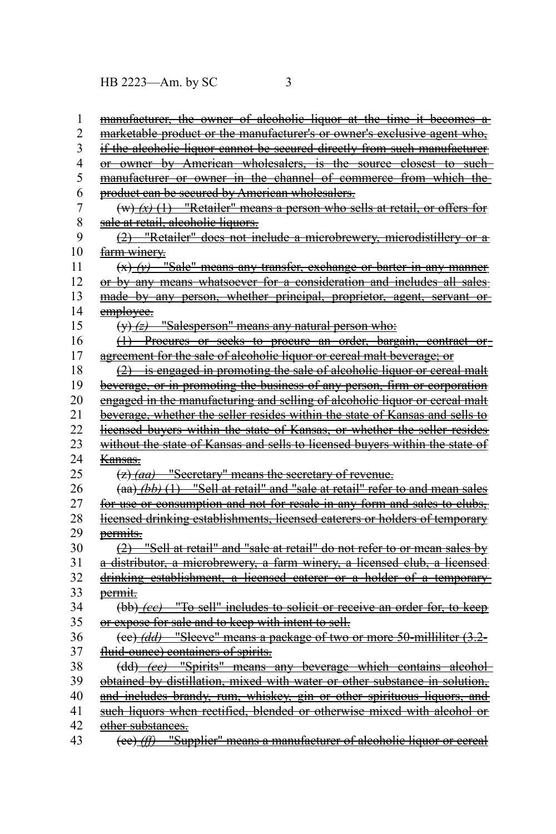| 1              | manufacturer, the owner of alcoholic liquor at the time it becomes a          |
|----------------|-------------------------------------------------------------------------------|
| $\overline{c}$ | marketable product or the manufacturer's or owner's exclusive agent who.      |
| 3              | if the alcoholic liquor cannot be secured directly from such manufacturer     |
| 4              | or owner by American wholesalers, is the source closest to such-              |
| 5              | manufacturer or owner in the channel of commerce from which the               |
| 6              | product can be secured by American wholesalers.                               |
| $\overline{7}$ | $(w)$ (x) (1) "Retailer" means a person who sells at retail, or offers for    |
| 8              | sale at retail, alcoholic liquors.                                            |
| 9              | (2) "Retailer" does not include a microbrewery, microdistillery or a          |
| 10             | farm winery.                                                                  |
| 11             | $(x)$ $(y)$ "Sale" means any transfer, exchange or barter in any manner       |
| 12             | or by any means whatsoever for a consideration and includes all sales-        |
| 13             | made by any person, whether principal, proprietor, agent, servant or          |
| 14             | employee.                                                                     |
| 15             | $(y)$ (z) "Salesperson" means any natural person who:                         |
| 16             | (1) Procures or seeks to procure an order, bargain, contract or-              |
| 17             | agreement for the sale of alcoholic liquor or cercal malt beverage; or        |
| 18             | $(2)$ is engaged in promoting the sale of alcoholic liquor or cereal malt     |
| 19             | beverage, or in promoting the business of any person, firm or corporation     |
| 20             | engaged in the manufacturing and selling of alcoholic liquor or cereal malt   |
| 21             | beverage, whether the seller resides within the state of Kansas and sells to  |
| 22             | licensed buyers within the state of Kansas, or whether the seller resides     |
| 23             | without the state of Kansas and sells to licensed buyers within the state of  |
| 24             | <del>Kansas.</del>                                                            |
| 25             | (z) (aa) "Secretary" means the secretary of revenue.                          |
| 26             | $(aa)$ (bb) (1) "Sell at retail" and "sale at retail" refer to and mean sales |
| 27             | for use or consumption and not for resale in any form and sales to clubs.     |
| 28             | licensed drinking establishments, licensed caterers or holders of temporary   |
| 29             | permits.                                                                      |
| 30             | (2) "Sell at retail" and "sale at retail" do not refer to or mean sales by    |
| 31             | a distributor, a microbrewery, a farm winery, a licensed club, a licensed     |
| 32             | drinking establishment, a licensed caterer or a holder of a temporary-        |
| 33             | permit.                                                                       |
| 34             | (bb) (ee) "To sell" includes to solicit or receive an order for, to keep      |
| 35             | or expose for sale and to keep with intent to sell.                           |
| 36             | (ee) <i>(dd)</i> "Sleeve" means a package of two or more 50-milliliter (3.2-  |
| 37             | fluid-ounce) containers of spirits.                                           |
| 38             | (dd) (ee) "Spirits" means any beverage which contains alcohol                 |
| 39             | obtained by distillation, mixed with water or other substance in solution,    |
| 40             | and includes brandy, rum, whiskey, gin or other spirituous liquors, and       |
| 41             | such liquors when rectified, blended or otherwise mixed with alcohol or       |
| 42             | other substances.                                                             |
| 43             | "Supplier" means a manufacturer of alcoholic liquor or cereal<br>$(ee)$ (ff)  |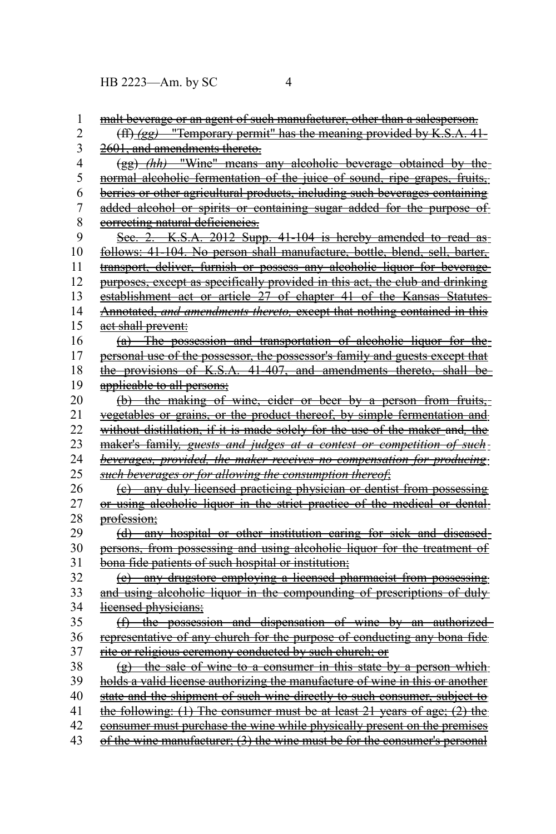| 1               | malt beverage or an agent of such manufacturer, other than a salesperson.     |
|-----------------|-------------------------------------------------------------------------------|
| $\overline{c}$  | $(f)$ (gg) "Temporary permit" has the meaning provided by K.S.A. 41-          |
| 3               | 2601, and amendments thereto.                                                 |
| 4               | (gg) <i>(hh)</i> "Wine" means any alcoholic beverage obtained by the-         |
| 5               | normal alcoholic fermentation of the juice of sound, ripe grapes, fruits,     |
| 6               | berries or other agricultural products, including such beverages containing   |
| 7               | added alcohol or spirits or containing sugar added for the purpose of         |
| 8               | correcting natural deficiencies.                                              |
| 9               | Sec. 2. K.S.A. 2012 Supp. 41-104 is hereby amended to read as-                |
| 10              | follows: 41-104. No person shall manufacture, bottle, blend, sell, barter,    |
| 11              | transport, deliver, furnish or possess any alcoholic liquor for beverage      |
| 12              | purposes, except as specifically provided in this act, the club and drinking  |
| 13              | establishment act or article 27 of chapter 41 of the Kansas Statutes          |
| 14              | Annotated, and amendments thereto, except that nothing contained in this      |
| 15              | aet shall prevent:                                                            |
| 16              | (a) The possession and transportation of alcoholic liquor for the             |
| 17              | personal use of the possessor, the possessor's family and guests except that  |
| 18              | the provisions of K.S.A. 41-407, and amendments thereto, shall be             |
| 19              | applicable to all persons:                                                    |
| 20              | (b) the making of wine, eider or beer by a person from fruits,-               |
| 21              | vegetables or grains, or the product thereof, by simple fermentation and      |
| $\overline{22}$ | without distillation, if it is made solely for the use of the maker and, the  |
| 23              | maker's family, guests and judges at a contest or competition of such-        |
| 24              | beverages, provided, the maker receives no compensation for producing         |
| 25              | such beverages or for allowing the consumption thereof;                       |
| 26              | (e) any duly licensed practicing physician or dentist from possessing         |
| 27              | or using alcoholic liquor in the strict practice of the medical or dental-    |
| 28              | profession;                                                                   |
| 29              | (d) any hospital or other institution earing for sick and diseased            |
| 30              | persons, from possessing and using alcoholic liquor for the treatment of      |
| 31              | bona fide patients of such hospital or institution;                           |
| 32              | (e) any drugstore employing a licensed pharmacist from possessing             |
| 33              | and using alcoholic liquor in the compounding of prescriptions of duly        |
| 34              | licensed physicians;                                                          |
| 35              | (f) the possession and dispensation of wine by an authorized                  |
| 36              | representative of any church for the purpose of conducting any bona fide      |
| 37              | rite or religious ceremony conducted by such church; or                       |
| 38              | (g) the sale of wine to a consumer in this state by a person which            |
| 39              | holds a valid license authorizing the manufacture of wine in this or another  |
| 40              | state and the shipment of such wine directly to such consumer, subject to     |
| 41              | the following: $(1)$ The consumer must be at least 21 years of age; $(2)$ the |
| 42              | consumer must purchase the wine while physically present on the premises      |
| 43              | of the wine manufacturer; (3) the wine must be for the consumer's personal    |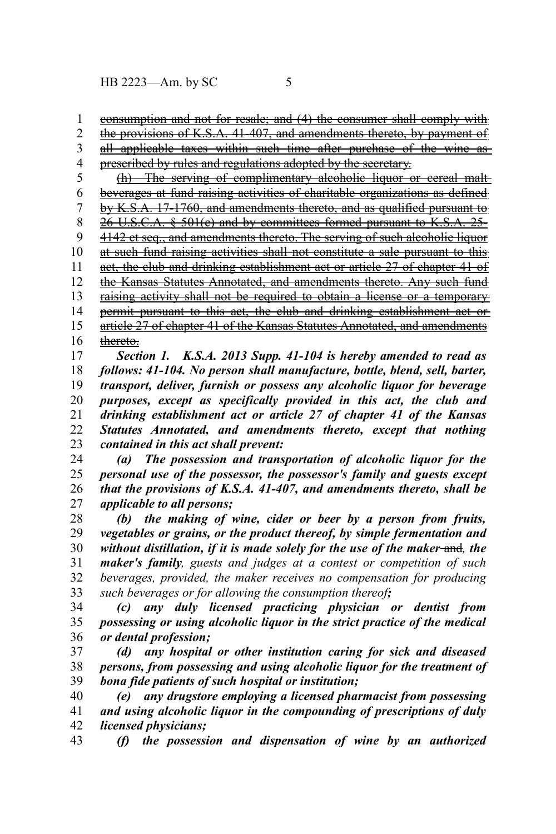consumption and not for resale; and (4) the consumer shall comply with 1

the provisions of K.S.A. 41-407, and amendments thereto, by payment of 2

all applicable taxes within such time after purchase of the wine asprescribed by rules and regulations adopted by the secretary. 3 4

(h) The serving of complimentary alcoholic liquor or cereal malt beverages at fund raising activities of charitable organizations as defined 5 6

by K.S.A. 17-1760, and amendments thereto, and as qualified pursuant to 7

 26 U.S.C.A. § 501(c) and by committees formed pursuant to K.S.A. 25- 8

4142 et seq., and amendments thereto. The serving of such alcoholic liquor 9

at such fund raising activities shall not constitute a sale pursuant to this 10

act, the club and drinking establishment act or article 27 of chapter 41 of 11 12

the Kansas Statutes Annotated, and amendments thereto. Any such fund

raising activity shall not be required to obtain a license or a temporary 13

permit pursuant to this act, the club and drinking establishment act or article 27 of chapter 41 of the Kansas Statutes Annotated, and amendments 14 15

thereto. 16

*Section 1. K.S.A. 2013 Supp. 41-104 is hereby amended to read as follows: 41-104. No person shall manufacture, bottle, blend, sell, barter, transport, deliver, furnish or possess any alcoholic liquor for beverage purposes, except as specifically provided in this act, the club and drinking establishment act or article 27 of chapter 41 of the Kansas Statutes Annotated, and amendments thereto, except that nothing contained in this act shall prevent:* 17 18 19 20 21 22 23

*(a) The possession and transportation of alcoholic liquor for the personal use of the possessor, the possessor's family and guests except that the provisions of K.S.A. 41-407, and amendments thereto, shall be applicable to all persons;* 24 25 26 27

*(b) the making of wine, cider or beer by a person from fruits, vegetables or grains, or the product thereof, by simple fermentation and without distillation, if it is made solely for the use of the maker* and*, the maker's family, guests and judges at a contest or competition of such beverages, provided, the maker receives no compensation for producing such beverages or for allowing the consumption thereof;* 28 29 30 31 32 33

*(c) any duly licensed practicing physician or dentist from possessing or using alcoholic liquor in the strict practice of the medical or dental profession;* 34 35 36

*(d) any hospital or other institution caring for sick and diseased persons, from possessing and using alcoholic liquor for the treatment of bona fide patients of such hospital or institution;* 37 38 39

*(e) any drugstore employing a licensed pharmacist from possessing and using alcoholic liquor in the compounding of prescriptions of duly licensed physicians;* 40 41 42

*(f) the possession and dispensation of wine by an authorized* 43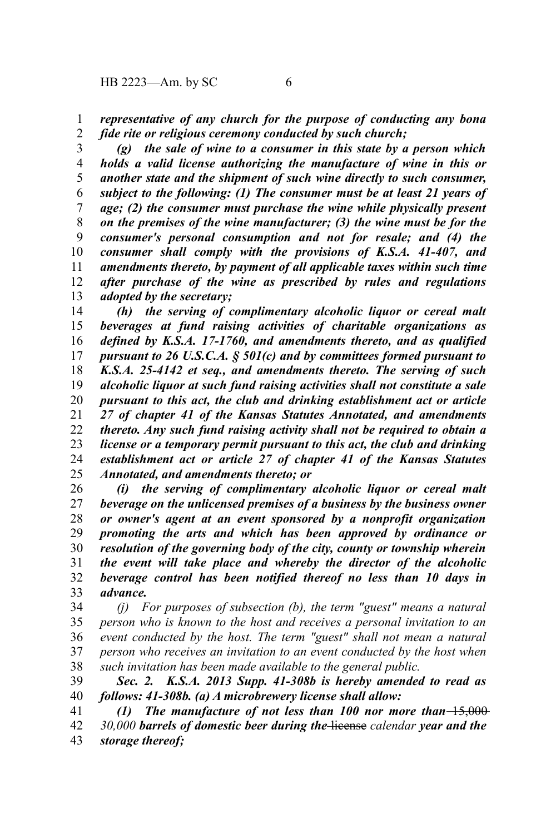*representative of any church for the purpose of conducting any bona fide rite or religious ceremony conducted by such church;* 1 2

*(g) the sale of wine to a consumer in this state by a person which holds a valid license authorizing the manufacture of wine in this or another state and the shipment of such wine directly to such consumer, subject to the following: (1) The consumer must be at least 21 years of age; (2) the consumer must purchase the wine while physically present on the premises of the wine manufacturer; (3) the wine must be for the consumer's personal consumption and not for resale; and (4) the consumer shall comply with the provisions of K.S.A. 41-407, and amendments thereto, by payment of all applicable taxes within such time after purchase of the wine as prescribed by rules and regulations adopted by the secretary;* 3 4 5 6 7 8 9 10 11 12 13

*(h) the serving of complimentary alcoholic liquor or cereal malt beverages at fund raising activities of charitable organizations as defined by K.S.A. 17-1760, and amendments thereto, and as qualified pursuant to 26 U.S.C.A. § 501(c) and by committees formed pursuant to K.S.A. 25-4142 et seq., and amendments thereto. The serving of such alcoholic liquor at such fund raising activities shall not constitute a sale pursuant to this act, the club and drinking establishment act or article 27 of chapter 41 of the Kansas Statutes Annotated, and amendments thereto. Any such fund raising activity shall not be required to obtain a license or a temporary permit pursuant to this act, the club and drinking establishment act or article 27 of chapter 41 of the Kansas Statutes Annotated, and amendments thereto; or* 14 15 16 17 18 19 20 21 22 23 24 25

*(i) the serving of complimentary alcoholic liquor or cereal malt beverage on the unlicensed premises of a business by the business owner or owner's agent at an event sponsored by a nonprofit organization promoting the arts and which has been approved by ordinance or resolution of the governing body of the city, county or township wherein the event will take place and whereby the director of the alcoholic beverage control has been notified thereof no less than 10 days in advance.* 26 27 28 29 30 31 32 33

*(j) For purposes of subsection (b), the term "guest" means a natural person who is known to the host and receives a personal invitation to an event conducted by the host. The term "guest" shall not mean a natural person who receives an invitation to an event conducted by the host when such invitation has been made available to the general public.*  34 35 36 37 38

*Sec. 2. K.S.A. 2013 Supp. 41-308b is hereby amended to read as follows: 41-308b. (a) A microbrewery license shall allow:* 39 40

*(1)* The manufacture of not less than 100 nor more than  $\left(-1, 0, 0\right)$ *30,000 barrels of domestic beer during the* license *calendar year and the storage thereof;* 41 42 43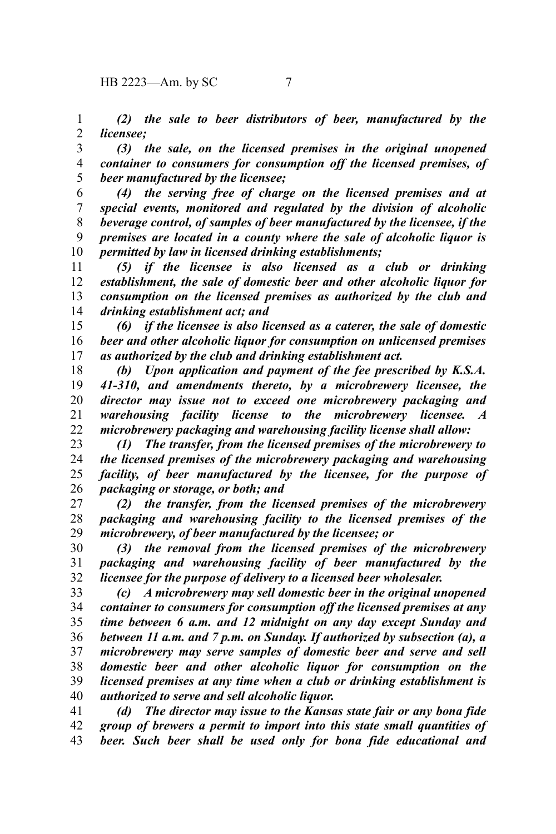*(2) the sale to beer distributors of beer, manufactured by the licensee;* 1 2

*(3) the sale, on the licensed premises in the original unopened container to consumers for consumption off the licensed premises, of beer manufactured by the licensee;* 3 4 5

*(4) the serving free of charge on the licensed premises and at special events, monitored and regulated by the division of alcoholic beverage control, of samples of beer manufactured by the licensee, if the premises are located in a county where the sale of alcoholic liquor is permitted by law in licensed drinking establishments;* 6 7 8 9 10

*(5) if the licensee is also licensed as a club or drinking establishment, the sale of domestic beer and other alcoholic liquor for consumption on the licensed premises as authorized by the club and drinking establishment act; and* 11 12 13 14

*(6) if the licensee is also licensed as a caterer, the sale of domestic beer and other alcoholic liquor for consumption on unlicensed premises as authorized by the club and drinking establishment act.* 15 16 17

*(b) Upon application and payment of the fee prescribed by K.S.A. 41-310, and amendments thereto, by a microbrewery licensee, the director may issue not to exceed one microbrewery packaging and warehousing facility license to the microbrewery licensee. A microbrewery packaging and warehousing facility license shall allow:* 18 19 20 21 22

*(1) The transfer, from the licensed premises of the microbrewery to the licensed premises of the microbrewery packaging and warehousing facility, of beer manufactured by the licensee, for the purpose of packaging or storage, or both; and* 23 24 25 26

*(2) the transfer, from the licensed premises of the microbrewery packaging and warehousing facility to the licensed premises of the microbrewery, of beer manufactured by the licensee; or* 27 28 29

*(3) the removal from the licensed premises of the microbrewery packaging and warehousing facility of beer manufactured by the licensee for the purpose of delivery to a licensed beer wholesaler.* 30 31 32

*(c) A microbrewery may sell domestic beer in the original unopened container to consumers for consumption off the licensed premises at any time between 6 a.m. and 12 midnight on any day except Sunday and between 11 a.m. and 7 p.m. on Sunday. If authorized by subsection (a), a microbrewery may serve samples of domestic beer and serve and sell domestic beer and other alcoholic liquor for consumption on the licensed premises at any time when a club or drinking establishment is authorized to serve and sell alcoholic liquor.* 33 34 35 36 37 38 39 40

*(d) The director may issue to the Kansas state fair or any bona fide group of brewers a permit to import into this state small quantities of beer. Such beer shall be used only for bona fide educational and* 41 42 43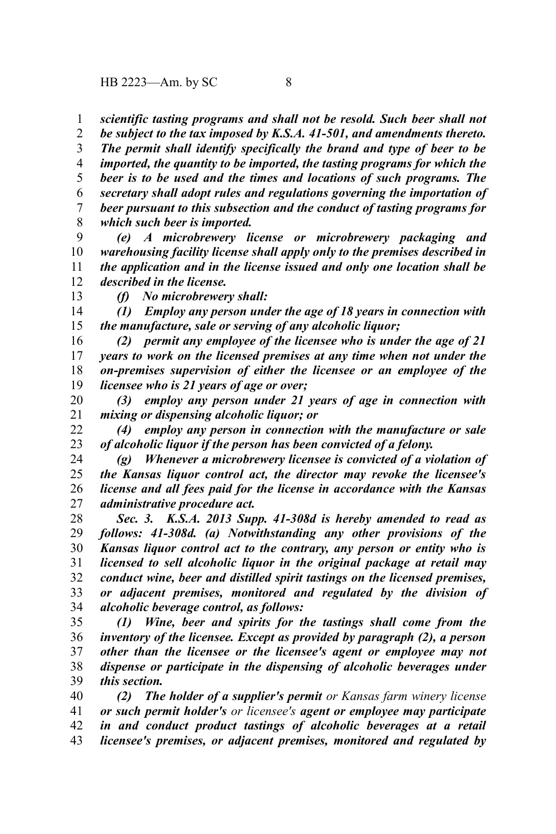*scientific tasting programs and shall not be resold. Such beer shall not* 1

*be subject to the tax imposed by K.S.A. 41-501, and amendments thereto. The permit shall identify specifically the brand and type of beer to be imported, the quantity to be imported, the tasting programs for which the beer is to be used and the times and locations of such programs. The secretary shall adopt rules and regulations governing the importation of beer pursuant to this subsection and the conduct of tasting programs for which such beer is imported.* 2 3 4 5 6 7 8

*(e) A microbrewery license or microbrewery packaging and warehousing facility license shall apply only to the premises described in the application and in the license issued and only one location shall be described in the license.* 9 10 11 12

*(f) No microbrewery shall:*

13

*(1) Employ any person under the age of 18 years in connection with the manufacture, sale or serving of any alcoholic liquor;* 14 15

*(2) permit any employee of the licensee who is under the age of 21 years to work on the licensed premises at any time when not under the on-premises supervision of either the licensee or an employee of the licensee who is 21 years of age or over;* 16 17 18 19

*(3) employ any person under 21 years of age in connection with mixing or dispensing alcoholic liquor; or* 20 21

*(4) employ any person in connection with the manufacture or sale of alcoholic liquor if the person has been convicted of a felony.* 22 23

*(g) Whenever a microbrewery licensee is convicted of a violation of the Kansas liquor control act, the director may revoke the licensee's license and all fees paid for the license in accordance with the Kansas administrative procedure act.* 24 25 26 27

*Sec. 3. K.S.A. 2013 Supp. 41-308d is hereby amended to read as follows: 41-308d. (a) Notwithstanding any other provisions of the Kansas liquor control act to the contrary, any person or entity who is licensed to sell alcoholic liquor in the original package at retail may conduct wine, beer and distilled spirit tastings on the licensed premises, or adjacent premises, monitored and regulated by the division of alcoholic beverage control, as follows:* 28 29 30 31 32 33 34

*(1) Wine, beer and spirits for the tastings shall come from the inventory of the licensee. Except as provided by paragraph (2), a person other than the licensee or the licensee's agent or employee may not dispense or participate in the dispensing of alcoholic beverages under this section.*  35 36 37 38 39

*(2) The holder of a supplier's permit or Kansas farm winery license or such permit holder's or licensee's agent or employee may participate in and conduct product tastings of alcoholic beverages at a retail licensee's premises, or adjacent premises, monitored and regulated by* 40 41 42 43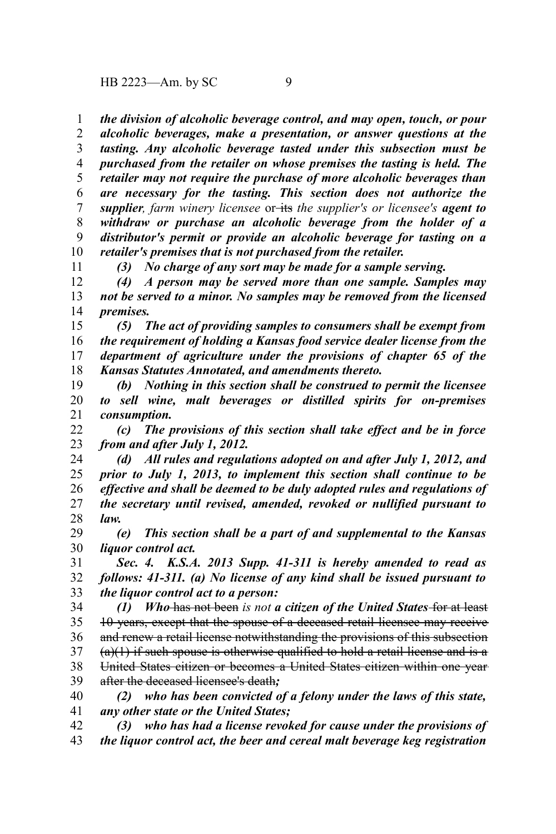11

*the division of alcoholic beverage control, and may open, touch, or pour* 1

*alcoholic beverages, make a presentation, or answer questions at the tasting. Any alcoholic beverage tasted under this subsection must be purchased from the retailer on whose premises the tasting is held. The retailer may not require the purchase of more alcoholic beverages than are necessary for the tasting. This section does not authorize the supplier, farm winery licensee* or its the supplier's or licensee's **agent to** *withdraw or purchase an alcoholic beverage from the holder of a distributor's permit or provide an alcoholic beverage for tasting on a retailer's premises that is not purchased from the retailer.* 2 3 4 5 6 7 8 9 10

*(3) No charge of any sort may be made for a sample serving.* 

*(4) A person may be served more than one sample. Samples may not be served to a minor. No samples may be removed from the licensed premises.* 12 13 14

*(5) The act of providing samples to consumers shall be exempt from the requirement of holding a Kansas food service dealer license from the department of agriculture under the provisions of chapter 65 of the Kansas Statutes Annotated, and amendments thereto.* 15 16 17 18

*(b) Nothing in this section shall be construed to permit the licensee to sell wine, malt beverages or distilled spirits for on-premises consumption.* 19 20 21

*(c) The provisions of this section shall take effect and be in force from and after July 1, 2012.* 22 23

*(d) All rules and regulations adopted on and after July 1, 2012, and prior to July 1, 2013, to implement this section shall continue to be effective and shall be deemed to be duly adopted rules and regulations of the secretary until revised, amended, revoked or nullified pursuant to law.* 24 25 26 27 28

*(e) This section shall be a part of and supplemental to the Kansas liquor control act.* 29 30

*Sec. 4. K.S.A. 2013 Supp. 41-311 is hereby amended to read as follows: 41-311. (a) No license of any kind shall be issued pursuant to the liquor control act to a person:* 31 32 33

*(1) Who* has not been *is not a citizen of the United States* for at least 10 years, except that the spouse of a deceased retail licensee may receive and renew a retail license notwithstanding the provisions of this subsection  $(a)(1)$  if such spouse is otherwise qualified to hold a retail license and is a United States citizen or becomes a United States citizen within one year after the deceased licensee's death*;* 34 35 36 37 38 39

*(2) who has been convicted of a felony under the laws of this state, any other state or the United States;* 40 41

*(3) who has had a license revoked for cause under the provisions of* 42

*the liquor control act, the beer and cereal malt beverage keg registration* 43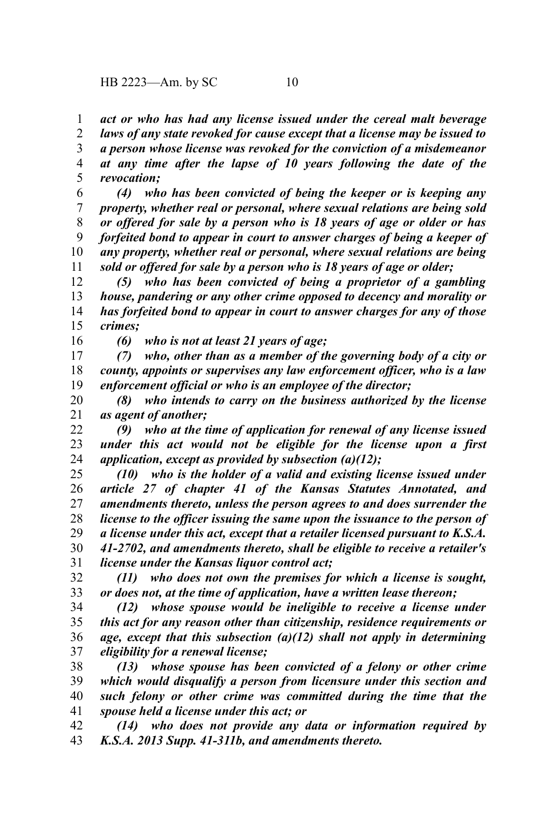*act or who has had any license issued under the cereal malt beverage* 1

*laws of any state revoked for cause except that a license may be issued to a person whose license was revoked for the conviction of a misdemeanor at any time after the lapse of 10 years following the date of the revocation;* 2 3 4 5

*(4) who has been convicted of being the keeper or is keeping any property, whether real or personal, where sexual relations are being sold or offered for sale by a person who is 18 years of age or older or has forfeited bond to appear in court to answer charges of being a keeper of any property, whether real or personal, where sexual relations are being sold or offered for sale by a person who is 18 years of age or older;* 6 7 8 9 10 11

*(5) who has been convicted of being a proprietor of a gambling house, pandering or any other crime opposed to decency and morality or has forfeited bond to appear in court to answer charges for any of those crimes;* 12 13 14 15

16

*(6) who is not at least 21 years of age;*

*(7) who, other than as a member of the governing body of a city or county, appoints or supervises any law enforcement officer, who is a law enforcement official or who is an employee of the director;* 17 18 19

*(8) who intends to carry on the business authorized by the license as agent of another;* 20 21

*(9) who at the time of application for renewal of any license issued under this act would not be eligible for the license upon a first application, except as provided by subsection (a)(12);* 22 23 24

*(10) who is the holder of a valid and existing license issued under article 27 of chapter 41 of the Kansas Statutes Annotated, and amendments thereto, unless the person agrees to and does surrender the license to the officer issuing the same upon the issuance to the person of a license under this act, except that a retailer licensed pursuant to K.S.A. 41-2702, and amendments thereto, shall be eligible to receive a retailer's license under the Kansas liquor control act;* 25 26 27 28 29 30 31

*(11) who does not own the premises for which a license is sought, or does not, at the time of application, have a written lease thereon;* 32 33

*(12) whose spouse would be ineligible to receive a license under this act for any reason other than citizenship, residence requirements or age, except that this subsection (a)(12) shall not apply in determining eligibility for a renewal license;* 34 35 36 37

*(13) whose spouse has been convicted of a felony or other crime which would disqualify a person from licensure under this section and such felony or other crime was committed during the time that the spouse held a license under this act; or* 38 39 40 41

*(14) who does not provide any data or information required by K.S.A. 2013 Supp. 41-311b, and amendments thereto.* 42 43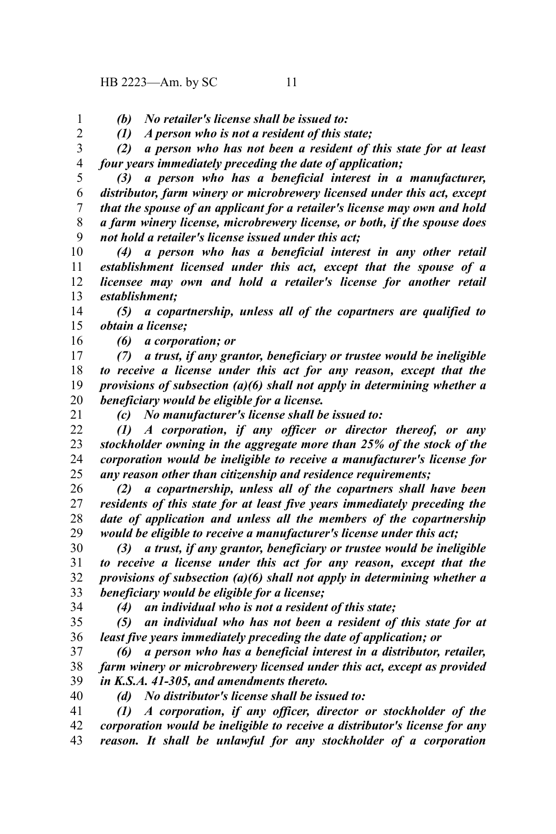*(b) No retailer's license shall be issued to:*

*(1) A person who is not a resident of this state;*

*(2) a person who has not been a resident of this state for at least four years immediately preceding the date of application;* 3 4

*(3) a person who has a beneficial interest in a manufacturer, distributor, farm winery or microbrewery licensed under this act, except that the spouse of an applicant for a retailer's license may own and hold a farm winery license, microbrewery license, or both, if the spouse does not hold a retailer's license issued under this act;* 5 6 7 8 9

*(4) a person who has a beneficial interest in any other retail establishment licensed under this act, except that the spouse of a licensee may own and hold a retailer's license for another retail establishment;* 10 11 12 13

*(5) a copartnership, unless all of the copartners are qualified to obtain a license;* 14 15

16

*(6) a corporation; or*

*(7) a trust, if any grantor, beneficiary or trustee would be ineligible to receive a license under this act for any reason, except that the provisions of subsection (a)(6) shall not apply in determining whether a beneficiary would be eligible for a license.* 17 18 19 20 21

*(c) No manufacturer's license shall be issued to:*

*(1) A corporation, if any officer or director thereof, or any stockholder owning in the aggregate more than 25% of the stock of the corporation would be ineligible to receive a manufacturer's license for any reason other than citizenship and residence requirements;* 22 23 24 25

*(2) a copartnership, unless all of the copartners shall have been residents of this state for at least five years immediately preceding the date of application and unless all the members of the copartnership would be eligible to receive a manufacturer's license under this act;* 26 27 28 29

*(3) a trust, if any grantor, beneficiary or trustee would be ineligible to receive a license under this act for any reason, except that the provisions of subsection (a)(6) shall not apply in determining whether a beneficiary would be eligible for a license;* 30 31 32 33 34

*(4) an individual who is not a resident of this state;*

*(5) an individual who has not been a resident of this state for at least five years immediately preceding the date of application; or* 35 36

*(6) a person who has a beneficial interest in a distributor, retailer, farm winery or microbrewery licensed under this act, except as provided in K.S.A. 41-305, and amendments thereto.* 37 38 39

40

*(d) No distributor's license shall be issued to:*

*(1) A corporation, if any officer, director or stockholder of the corporation would be ineligible to receive a distributor's license for any reason. It shall be unlawful for any stockholder of a corporation* 41 42 43

1 2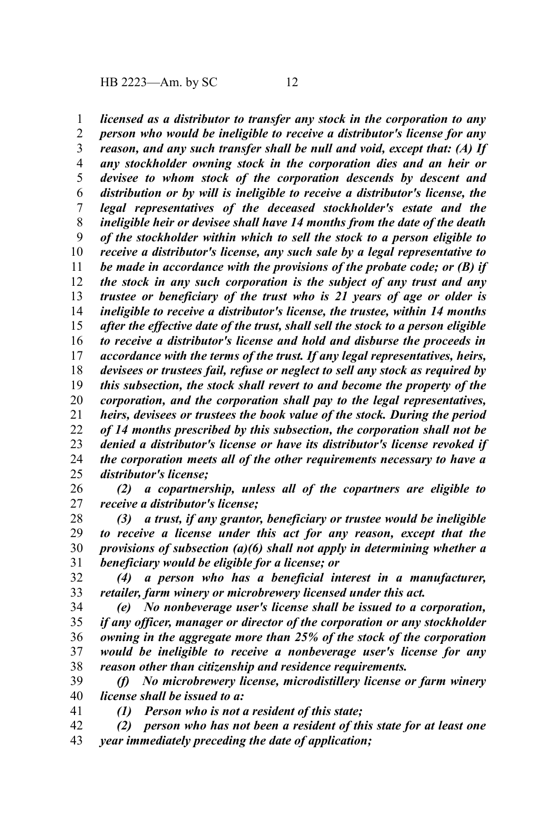*licensed as a distributor to transfer any stock in the corporation to any person who would be ineligible to receive a distributor's license for any reason, and any such transfer shall be null and void, except that: (A) If any stockholder owning stock in the corporation dies and an heir or devisee to whom stock of the corporation descends by descent and distribution or by will is ineligible to receive a distributor's license, the legal representatives of the deceased stockholder's estate and the ineligible heir or devisee shall have 14 months from the date of the death of the stockholder within which to sell the stock to a person eligible to receive a distributor's license, any such sale by a legal representative to be made in accordance with the provisions of the probate code; or (B) if the stock in any such corporation is the subject of any trust and any trustee or beneficiary of the trust who is 21 years of age or older is ineligible to receive a distributor's license, the trustee, within 14 months after the effective date of the trust, shall sell the stock to a person eligible to receive a distributor's license and hold and disburse the proceeds in accordance with the terms of the trust. If any legal representatives, heirs, devisees or trustees fail, refuse or neglect to sell any stock as required by this subsection, the stock shall revert to and become the property of the corporation, and the corporation shall pay to the legal representatives, heirs, devisees or trustees the book value of the stock. During the period of 14 months prescribed by this subsection, the corporation shall not be denied a distributor's license or have its distributor's license revoked if the corporation meets all of the other requirements necessary to have a distributor's license;* 1 2 3 4 5 6 7 8 9 10 11 12 13 14 15 16 17 18 19 20 21 22 23 24 25

*(2) a copartnership, unless all of the copartners are eligible to receive a distributor's license;* 26 27

*(3) a trust, if any grantor, beneficiary or trustee would be ineligible to receive a license under this act for any reason, except that the provisions of subsection (a)(6) shall not apply in determining whether a beneficiary would be eligible for a license; or* 28 29 30 31

*(4) a person who has a beneficial interest in a manufacturer, retailer, farm winery or microbrewery licensed under this act.* 32 33

*(e) No nonbeverage user's license shall be issued to a corporation, if any officer, manager or director of the corporation or any stockholder owning in the aggregate more than 25% of the stock of the corporation would be ineligible to receive a nonbeverage user's license for any reason other than citizenship and residence requirements.* 34 35 36 37 38

*(f) No microbrewery license, microdistillery license or farm winery license shall be issued to a:* 39 40

*(1) Person who is not a resident of this state;*

41

*(2) person who has not been a resident of this state for at least one year immediately preceding the date of application;* 42 43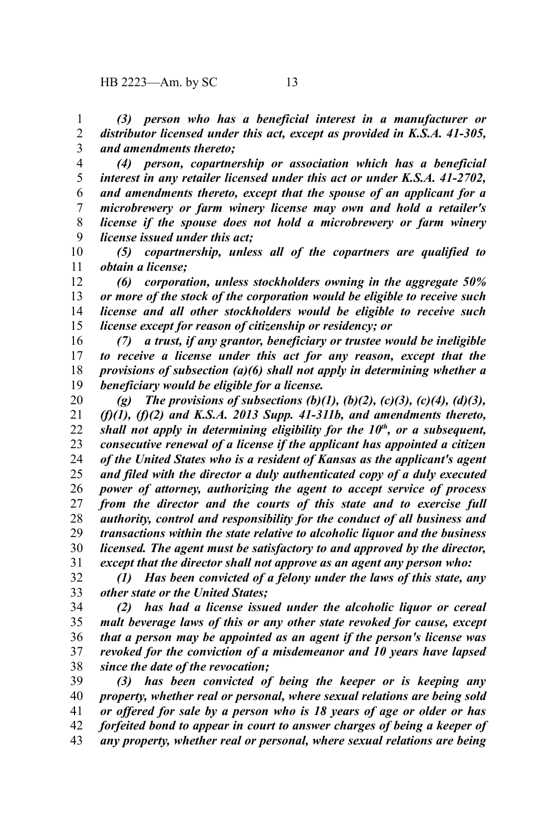*(3) person who has a beneficial interest in a manufacturer or distributor licensed under this act, except as provided in K.S.A. 41-305, and amendments thereto;* 1 2 3

*(4) person, copartnership or association which has a beneficial interest in any retailer licensed under this act or under K.S.A. 41-2702, and amendments thereto, except that the spouse of an applicant for a microbrewery or farm winery license may own and hold a retailer's license if the spouse does not hold a microbrewery or farm winery license issued under this act;* 4 5 6 7 8 9

*(5) copartnership, unless all of the copartners are qualified to obtain a license;* 10 11

*(6) corporation, unless stockholders owning in the aggregate 50% or more of the stock of the corporation would be eligible to receive such license and all other stockholders would be eligible to receive such license except for reason of citizenship or residency; or* 12 13 14 15

*(7) a trust, if any grantor, beneficiary or trustee would be ineligible to receive a license under this act for any reason, except that the provisions of subsection (a)(6) shall not apply in determining whether a beneficiary would be eligible for a license.* 16 17 18 19

*(g) The provisions of subsections (b)(1), (b)(2), (c)(3), (c)(4), (d)(3), (f)(1), (f)(2) and K.S.A. 2013 Supp. 41-311b, and amendments thereto, shall not apply in determining eligibility for the 10th, or a subsequent, consecutive renewal of a license if the applicant has appointed a citizen of the United States who is a resident of Kansas as the applicant's agent and filed with the director a duly authenticated copy of a duly executed power of attorney, authorizing the agent to accept service of process from the director and the courts of this state and to exercise full authority, control and responsibility for the conduct of all business and transactions within the state relative to alcoholic liquor and the business licensed. The agent must be satisfactory to and approved by the director, except that the director shall not approve as an agent any person who:* 20 21 22 23 24 25 26 27 28 29 30 31

*(1) Has been convicted of a felony under the laws of this state, any other state or the United States;* 32 33

*(2) has had a license issued under the alcoholic liquor or cereal malt beverage laws of this or any other state revoked for cause, except that a person may be appointed as an agent if the person's license was revoked for the conviction of a misdemeanor and 10 years have lapsed since the date of the revocation;* 34 35 36 37 38

*(3) has been convicted of being the keeper or is keeping any property, whether real or personal, where sexual relations are being sold or offered for sale by a person who is 18 years of age or older or has forfeited bond to appear in court to answer charges of being a keeper of any property, whether real or personal, where sexual relations are being* 39 40 41 42 43